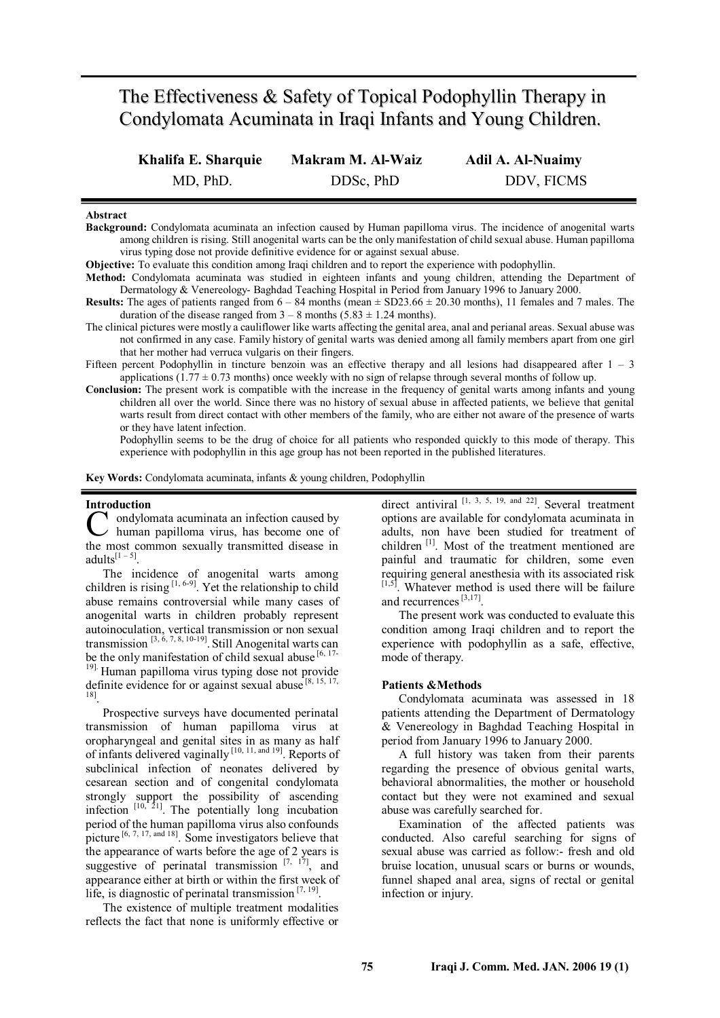# The Effectiveness & Safety of Topical Podophyllin Therapy in Condylomata Acuminata in Iraqi Infants and Young Children.

| Khalifa E. Sharquie | Makram M. Al-Waiz | <b>Adil A. Al-Nuaimy</b> |
|---------------------|-------------------|--------------------------|
| MD, PhD.            | DDSc, PhD         | DDV, FICMS               |

## **Abstract**

**Background:** Condylomata acuminata an infection caused by Human papilloma virus. The incidence of anogenital warts among children is rising. Still anogenital warts can be the only manifestation of child sexual abuse. Human papilloma virus typing dose not provide definitive evidence for or against sexual abuse.

**Objective:** To evaluate this condition among Iraqi children and to report the experience with podophyllin.

**Method:** Condylomata acuminata was studied in eighteen infants and young children, attending the Department of Dermatology & Venereology- Baghdad Teaching Hospital in Period from January 1996 to January 2000.

**Results:** The ages of patients ranged from  $6 - 84$  months (mean  $\pm$  SD23.66  $\pm$  20.30 months), 11 females and 7 males. The duration of the disease ranged from  $3 - 8$  months (5.83  $\pm$  1.24 months).

- The clinical pictures were mostly a cauliflower like warts affecting the genital area, anal and perianal areas. Sexual abuse was not confirmed in any case. Family history of genital warts was denied among all family members apart from one girl that her mother had verruca vulgaris on their fingers.
- Fifteen percent Podophyllin in tincture benzoin was an effective therapy and all lesions had disappeared after  $1 3$ applications (1.77  $\pm$  0.73 months) once weekly with no sign of relapse through several months of follow up.
- **Conclusion:** The present work is compatible with the increase in the frequency of genital warts among infants and young children all over the world. Since there was no history of sexual abuse in affected patients, we believe that genital warts result from direct contact with other members of the family, who are either not aware of the presence of warts or they have latent infection.

Podophyllin seems to be the drug of choice for all patients who responded quickly to this mode of therapy. This experience with podophyllin in this age group has not been reported in the published literatures.

**Key Words:** Condylomata acuminata, infants & young children, Podophyllin

## **Introduction**

I ondylomata acuminata an infection caused by  $\nu$  human papilloma virus, has become one of C ondylomata acuminata an infection caused by<br>the most common sexually transmitted disease in adults $^{[1-5]}$ .

The incidence of anogenital warts among children is rising  $[1, 6-9]$ . Yet the relationship to child abuse remains controversial while many cases of anogenital warts in children probably represent autoinoculation, vertical transmission or non sexual transmission<sup>[3, 6, 7, 8, 10-19]</sup>. Still Anogenital warts can be the only manifestation of child sexual abuse [6, 17-<sup>19].</sup> Human papilloma virus typing dose not provide definite evidence for or against sexual abuse<sup>[8, 15, 17,</sup>

18] . Prospective surveys have documented perinatal transmission of human papilloma virus at oropharyngeal and genital sites in as many as half of infants delivered vaginally<sup>[10, 11, and 19]</sup>. Reports of subclinical infection of neonates delivered by cesarean section and of congenital condylomata strongly support the possibility of ascending infection  $[10, 21]$ . The potentially long incubation period of the human papilloma virus also confounds picture  $[6, 7, 17, \text{ and } 18]$ . Some investigators believe that the appearance of warts before the age of 2 years is suggestive of perinatal transmission  $[7, 17]$ , and appearance either at birth or within the first week of life, is diagnostic of perinatal transmission  $[7, 19]$ .

The existence of multiple treatment modalities reflects the fact that none is uniformly effective or

direct antiviral  $[1, 3, 5, 19, \text{ and } 22]$ . Several treatment options are available for condylomata acuminata in adults, non have been studied for treatment of children<sup>[1]</sup>. Most of the treatment mentioned are painful and traumatic for children, some even requiring general anesthesia with its associated risk  $[1,5]$ . Whatever method is used there will be failure and recurrences<sup>[3,17]</sup>.

The present work was conducted to evaluate this condition among Iraqi children and to report the experience with podophyllin as a safe, effective, mode of therapy.

#### **Patients &Methods**

Condylomata acuminata was assessed in 18 patients attending the Department of Dermatology & Venereology in Baghdad Teaching Hospital in period from January 1996 to January 2000.

A full history was taken from their parents regarding the presence of obvious genital warts, behavioral abnormalities, the mother or household contact but they were not examined and sexual abuse was carefully searched for.

Examination of the affected patients was conducted. Also careful searching for signs of sexual abuse was carried as follow:- fresh and old bruise location, unusual scars or burns or wounds, funnel shaped anal area, signs of rectal or genital infection or injury.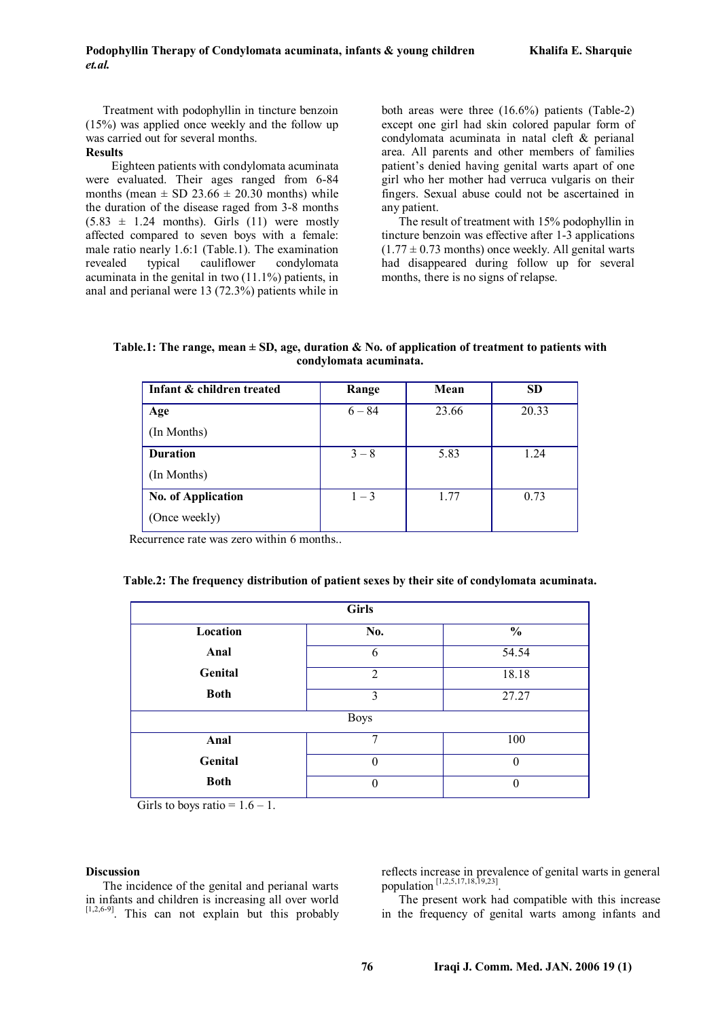Treatment with podophyllin in tincture benzoin (15%) was applied once weekly and the follow up was carried out for several months.

# **Results**

Eighteen patients with condylomata acuminata were evaluated. Their ages ranged from 6-84 months (mean  $\pm$  SD 23.66  $\pm$  20.30 months) while the duration of the disease raged from 3-8 months  $(5.83 \pm 1.24 \text{ months})$ . Girls (11) were mostly affected compared to seven boys with a female: male ratio nearly 1.6:1 (Table.1). The examination revealed typical cauliflower condylomata acuminata in the genital in two (11.1%) patients, in anal and perianal were 13 (72.3%) patients while in both areas were three (16.6%) patients (Table-2) except one girl had skin colored papular form of condylomata acuminata in natal cleft & perianal area. All parents and other members of families patient's denied having genital warts apart of one girl who her mother had verruca vulgaris on their fingers. Sexual abuse could not be ascertained in any patient.

The result of treatment with 15% podophyllin in tincture benzoin was effective after 1-3 applications  $(1.77 \pm 0.73$  months) once weekly. All genital warts had disappeared during follow up for several months, there is no signs of relapse.

| Table.1: The range, mean $\pm$ SD, age, duration & No. of application of treatment to patients with |
|-----------------------------------------------------------------------------------------------------|
| condylomata acuminata.                                                                              |

| Infant & children treated | Range    | Mean  | <b>SD</b> |
|---------------------------|----------|-------|-----------|
| Age                       | $6 - 84$ | 23.66 | 20.33     |
| (In Months)               |          |       |           |
| <b>Duration</b>           | $3 - 8$  | 5.83  | 1.24      |
| (In Months)               |          |       |           |
| <b>No. of Application</b> | $1 - 3$  | 1.77  | 0.73      |
| (Once weekly)             |          |       |           |

Recurrence rate was zero within 6 months..

| <b>Girls</b> |                |               |  |  |  |  |
|--------------|----------------|---------------|--|--|--|--|
| Location     | No.            | $\frac{0}{0}$ |  |  |  |  |
| Anal         | 6              | 54.54         |  |  |  |  |
| Genital      | $\overline{2}$ | 18.18         |  |  |  |  |
| <b>Both</b>  | 3              | 27.27         |  |  |  |  |
| <b>Boys</b>  |                |               |  |  |  |  |
| Anal         | 7              | 100           |  |  |  |  |
| Genital      | 0              | $\theta$      |  |  |  |  |
| <b>Both</b>  | 0              | 0             |  |  |  |  |

| Table.2: The frequency distribution of patient sexes by their site of condylomata acuminata. |  |  |
|----------------------------------------------------------------------------------------------|--|--|
|                                                                                              |  |  |

Girls to boys ratio =  $1.6 - 1$ .

# **Discussion**

The incidence of the genital and perianal warts in infants and children is increasing all over world  $[1,2,6-9]$ . This can not explain but this probably reflects increase in prevalence of genital warts in general population [1,2,5,17,18,19,23] .

The present work had compatible with this increase in the frequency of genital warts among infants and